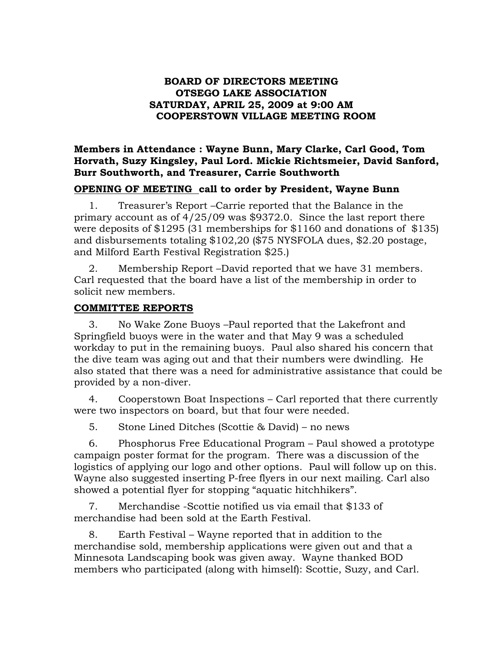#### **BOARD OF DIRECTORS MEETING OTSEGO LAKE ASSOCIATION SATURDAY, APRIL 25, 2009 at 9:00 AM COOPERSTOWN VILLAGE MEETING ROOM**

**Members in Attendance : Wayne Bunn, Mary Clarke, Carl Good, Tom Horvath, Suzy Kingsley, Paul Lord. Mickie Richtsmeier, David Sanford, Burr Southworth, and Treasurer, Carrie Southworth**

### **OPENING OF MEETING call to order by President, Wayne Bunn**

1. Treasurer's Report –Carrie reported that the Balance in the primary account as of 4/25/09 was \$9372.0. Since the last report there were deposits of \$1295 (31 memberships for \$1160 and donations of \$135) and disbursements totaling \$102,20 (\$75 NYSFOLA dues, \$2.20 postage, and Milford Earth Festival Registration \$25.)

2. Membership Report –David reported that we have 31 members. Carl requested that the board have a list of the membership in order to solicit new members.

### **COMMITTEE REPORTS**

3. No Wake Zone Buoys –Paul reported that the Lakefront and Springfield buoys were in the water and that May 9 was a scheduled workday to put in the remaining buoys. Paul also shared his concern that the dive team was aging out and that their numbers were dwindling. He also stated that there was a need for administrative assistance that could be provided by a non-diver.

4. Cooperstown Boat Inspections – Carl reported that there currently were two inspectors on board, but that four were needed.

5. Stone Lined Ditches (Scottie & David) – no news

6. Phosphorus Free Educational Program – Paul showed a prototype campaign poster format for the program. There was a discussion of the logistics of applying our logo and other options. Paul will follow up on this. Wayne also suggested inserting P-free flyers in our next mailing. Carl also showed a potential flyer for stopping "aquatic hitchhikers".

7. Merchandise -Scottie notified us via email that \$133 of merchandise had been sold at the Earth Festival.

8. Earth Festival – Wayne reported that in addition to the merchandise sold, membership applications were given out and that a Minnesota Landscaping book was given away. Wayne thanked BOD members who participated (along with himself): Scottie, Suzy, and Carl.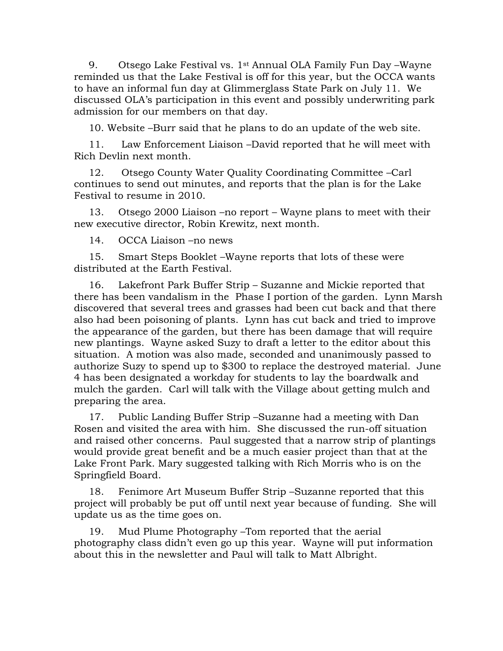9. Otsego Lake Festival vs. 1st Annual OLA Family Fun Day –Wayne reminded us that the Lake Festival is off for this year, but the OCCA wants to have an informal fun day at Glimmerglass State Park on July 11. We discussed OLA's participation in this event and possibly underwriting park admission for our members on that day.

10. Website –Burr said that he plans to do an update of the web site.

11. Law Enforcement Liaison –David reported that he will meet with Rich Devlin next month.

12. Otsego County Water Quality Coordinating Committee –Carl continues to send out minutes, and reports that the plan is for the Lake Festival to resume in 2010.

13. Otsego 2000 Liaison –no report – Wayne plans to meet with their new executive director, Robin Krewitz, next month.

14. OCCA Liaison –no news

15. Smart Steps Booklet –Wayne reports that lots of these were distributed at the Earth Festival.

16. Lakefront Park Buffer Strip – Suzanne and Mickie reported that there has been vandalism in the Phase I portion of the garden. Lynn Marsh discovered that several trees and grasses had been cut back and that there also had been poisoning of plants. Lynn has cut back and tried to improve the appearance of the garden, but there has been damage that will require new plantings. Wayne asked Suzy to draft a letter to the editor about this situation. A motion was also made, seconded and unanimously passed to authorize Suzy to spend up to \$300 to replace the destroyed material. June 4 has been designated a workday for students to lay the boardwalk and mulch the garden. Carl will talk with the Village about getting mulch and preparing the area.

17. Public Landing Buffer Strip –Suzanne had a meeting with Dan Rosen and visited the area with him. She discussed the run-off situation and raised other concerns. Paul suggested that a narrow strip of plantings would provide great benefit and be a much easier project than that at the Lake Front Park. Mary suggested talking with Rich Morris who is on the Springfield Board.

18. Fenimore Art Museum Buffer Strip –Suzanne reported that this project will probably be put off until next year because of funding. She will update us as the time goes on.

19. Mud Plume Photography –Tom reported that the aerial photography class didn't even go up this year. Wayne will put information about this in the newsletter and Paul will talk to Matt Albright.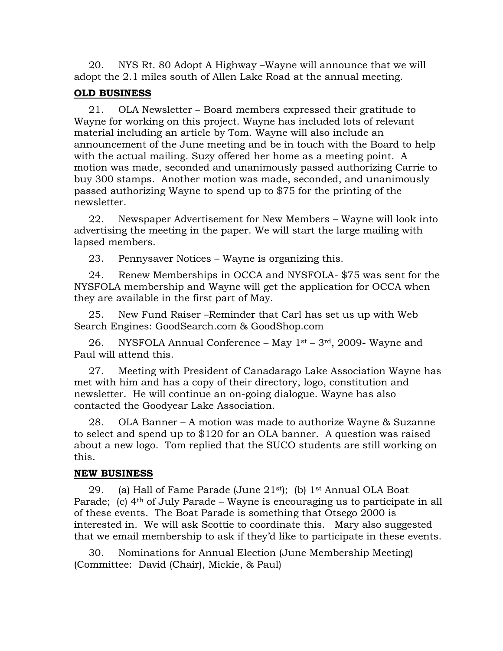20. NYS Rt. 80 Adopt A Highway –Wayne will announce that we will adopt the 2.1 miles south of Allen Lake Road at the annual meeting.

## **OLD BUSINESS**

21. OLA Newsletter – Board members expressed their gratitude to Wayne for working on this project. Wayne has included lots of relevant material including an article by Tom. Wayne will also include an announcement of the June meeting and be in touch with the Board to help with the actual mailing. Suzy offered her home as a meeting point. A motion was made, seconded and unanimously passed authorizing Carrie to buy 300 stamps. Another motion was made, seconded, and unanimously passed authorizing Wayne to spend up to \$75 for the printing of the newsletter.

22. Newspaper Advertisement for New Members – Wayne will look into advertising the meeting in the paper. We will start the large mailing with lapsed members.

23. Pennysaver Notices – Wayne is organizing this.

24. Renew Memberships in OCCA and NYSFOLA- \$75 was sent for the NYSFOLA membership and Wayne will get the application for OCCA when they are available in the first part of May.

25. New Fund Raiser –Reminder that Carl has set us up with Web Search Engines: GoodSearch.com & GoodShop.com

26. NYSFOLA Annual Conference – May  $1<sup>st</sup>$  – 3<sup>rd</sup>, 2009- Wayne and Paul will attend this.

27. Meeting with President of Canadarago Lake Association Wayne has met with him and has a copy of their directory, logo, constitution and newsletter. He will continue an on-going dialogue. Wayne has also contacted the Goodyear Lake Association.

28. OLA Banner – A motion was made to authorize Wayne & Suzanne to select and spend up to \$120 for an OLA banner. A question was raised about a new logo. Tom replied that the SUCO students are still working on this.

# **NEW BUSINESS**

29. (a) Hall of Fame Parade (June  $21^{st}$ ); (b)  $1^{st}$  Annual OLA Boat Parade; (c) 4<sup>th</sup> of July Parade – Wayne is encouraging us to participate in all of these events. The Boat Parade is something that Otsego 2000 is interested in. We will ask Scottie to coordinate this. Mary also suggested that we email membership to ask if they'd like to participate in these events.

30. Nominations for Annual Election (June Membership Meeting) (Committee: David (Chair), Mickie, & Paul)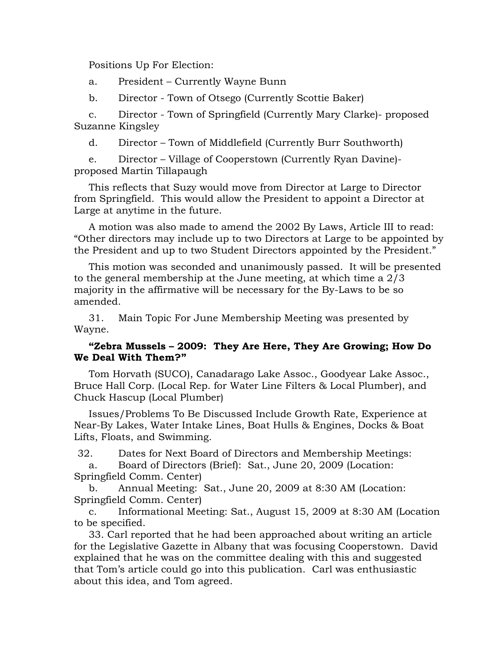Positions Up For Election:

a. President – Currently Wayne Bunn

b. Director - Town of Otsego (Currently Scottie Baker)

c. Director - Town of Springfield (Currently Mary Clarke)- proposed Suzanne Kingsley

d. Director – Town of Middlefield (Currently Burr Southworth)

e. Director – Village of Cooperstown (Currently Ryan Davine) proposed Martin Tillapaugh

This reflects that Suzy would move from Director at Large to Director from Springfield. This would allow the President to appoint a Director at Large at anytime in the future.

A motion was also made to amend the 2002 By Laws, Article III to read: "Other directors may include up to two Directors at Large to be appointed by the President and up to two Student Directors appointed by the President."

This motion was seconded and unanimously passed. It will be presented to the general membership at the June meeting, at which time a 2/3 majority in the affirmative will be necessary for the By-Laws to be so amended.

31. Main Topic For June Membership Meeting was presented by Wayne.

## **"Zebra Mussels – 2009: They Are Here, They Are Growing; How Do We Deal With Them?"**

Tom Horvath (SUCO), Canadarago Lake Assoc., Goodyear Lake Assoc., Bruce Hall Corp. (Local Rep. for Water Line Filters & Local Plumber), and Chuck Hascup (Local Plumber)

Issues/Problems To Be Discussed Include Growth Rate, Experience at Near-By Lakes, Water Intake Lines, Boat Hulls & Engines, Docks & Boat Lifts, Floats, and Swimming.

32. Dates for Next Board of Directors and Membership Meetings:

a. Board of Directors (Brief): Sat., June 20, 2009 (Location: Springfield Comm. Center)

b. Annual Meeting: Sat., June 20, 2009 at 8:30 AM (Location: Springfield Comm. Center)

c. Informational Meeting: Sat., August 15, 2009 at 8:30 AM (Location to be specified.

33. Carl reported that he had been approached about writing an article for the Legislative Gazette in Albany that was focusing Cooperstown. David explained that he was on the committee dealing with this and suggested that Tom's article could go into this publication. Carl was enthusiastic about this idea, and Tom agreed.